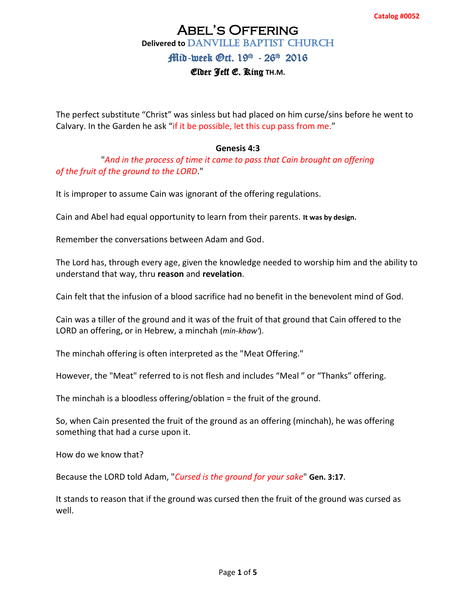# Abel's Offering **Delivered to DANVILLE BAPTIST CHURCH**

## Mid-week Gct. 19<sup>th</sup> - 26<sup>th</sup> 2016

#### Elder Jeff E. King **TH.M.**

The perfect substitute "Christ" was sinless but had placed on him curse/sins before he went to Calvary. In the Garden he ask "if it be possible, let this cup pass from me."

#### **Genesis 4:3**

"*And in the process of time it came to pass that Cain brought an offering of the fruit of the ground to the LORD*."

It is improper to assume Cain was ignorant of the offering regulations.

Cain and Abel had equal opportunity to learn from their parents. **It was by design.** 

Remember the conversations between Adam and God.

The Lord has, through every age, given the knowledge needed to worship him and the ability to understand that way, thru **reason** and **revelation**.

Cain felt that the infusion of a blood sacrifice had no benefit in the benevolent mind of God.

Cain was a tiller of the ground and it was of the fruit of that ground that Cain offered to the LORD an offering, or in Hebrew, a minchah (*min-khaw'*).

The minchah offering is often interpreted as the "Meat Offering."

However, the "Meat" referred to is not flesh and includes "Meal " or "Thanks" offering.

The minchah is a bloodless offering/oblation = the fruit of the ground.

So, when Cain presented the fruit of the ground as an offering (minchah), he was offering something that had a curse upon it.

How do we know that?

Because the LORD told Adam, "*Cursed is the ground for your sake*" **Gen. 3:17**.

It stands to reason that if the ground was cursed then the fruit of the ground was cursed as well.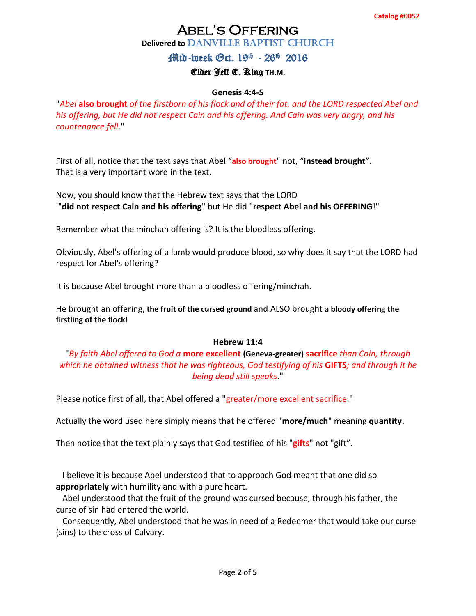# Abel's Offering **Delivered to DANVILLE BAPTIST CHURCH**

## Mid-week Gct. 19<sup>th</sup> - 26<sup>th</sup> 2016

### Elder Jeff E. King **TH.M.**

#### **Genesis 4:4-5**

"*Abel* **also brought** *of the firstborn of his flock and of their fat. and the LORD respected Abel and his offering, but He did not respect Cain and his offering. And Cain was very angry, and his countenance fell*."

First of all, notice that the text says that Abel "**also brought**" not, "**instead brought".** That is a very important word in the text.

Now, you should know that the Hebrew text says that the LORD "**did not respect Cain and his offering**" but He did "**respect Abel and his OFFERING**!"

Remember what the minchah offering is? It is the bloodless offering.

Obviously, Abel's offering of a lamb would produce blood, so why does it say that the LORD had respect for Abel's offering?

It is because Abel brought more than a bloodless offering/minchah.

He brought an offering, **the fruit of the cursed ground** and ALSO brought **a bloody offering the firstling of the flock!**

#### **Hebrew 11:4**

"*By faith Abel offered to God a* **more excellent (Geneva-greater) sacrifice** *than Cain, through which he obtained witness that he was righteous, God testifying of his* **GIFTS***; and through it he being dead still speaks*."

Please notice first of all, that Abel offered a "greater/more excellent sacrifice."

Actually the word used here simply means that he offered "**more/much**" meaning **quantity.**

Then notice that the text plainly says that God testified of his "**gifts**" not "gift".

 I believe it is because Abel understood that to approach God meant that one did so **appropriately** with humility and with a pure heart.

 Abel understood that the fruit of the ground was cursed because, through his father, the curse of sin had entered the world.

 Consequently, Abel understood that he was in need of a Redeemer that would take our curse (sins) to the cross of Calvary.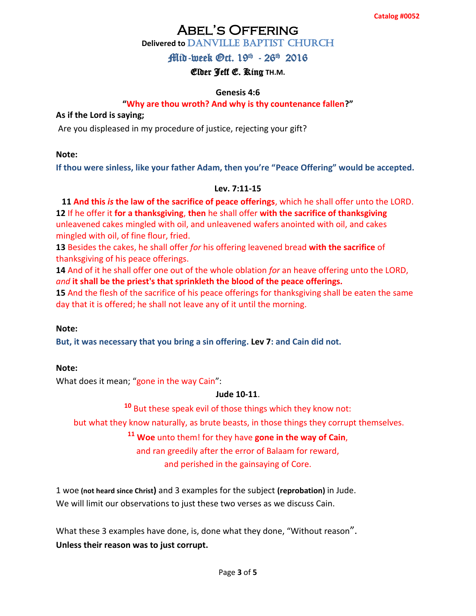# Abel's Offering

## **Delivered to DANVILLE BAPTIST CHURCH**

## Mid-week Gct. 19<sup>th</sup> - 26<sup>th</sup> 2016

## Elder Jeff E. King **TH.M.**

#### **Genesis 4:6**

#### **"Why are thou wroth? And why is thy countenance fallen?"**

#### **As if the Lord is saying;**

Are you displeased in my procedure of justice, rejecting your gift?

#### **Note:**

**If thou were sinless, like your father Adam, then you're "Peace Offering" would be accepted.**

#### **Lev. 7:11-15**

#### **11 And this** *is* **the law of the sacrifice of peace offerings**, which he shall offer unto the LORD. **[12](http://www.kingjamesbibleonline.org/Leviticus-7-12/)** If he offer it **for a thanksgiving**, **then** he shall offer **with the sacrifice of thanksgiving**

unleavened cakes mingled with oil, and unleavened wafers anointed with oil, and cakes mingled with oil, of fine flour, fried.

**[13](http://www.kingjamesbibleonline.org/Leviticus-7-13/)** Besides the cakes, he shall offer *for* his offering leavened bread **with the sacrifice** of thanksgiving of his peace offerings.

**[14](http://www.kingjamesbibleonline.org/Leviticus-7-14/)** And of it he shall offer one out of the whole oblation *for* an heave offering unto the LORD, *and* **it shall be the priest's that sprinkleth the blood of the peace offerings.**

**[15](http://www.kingjamesbibleonline.org/Leviticus-7-15/)** And the flesh of the sacrifice of his peace offerings for thanksgiving shall be eaten the same day that it is offered; he shall not leave any of it until the morning.

#### **Note:**

**But, it was necessary that you bring a sin offering. Lev 7: and Cain did not.** 

#### **Note:**

What does it mean; "gone in the way Cain":

#### **Jude 10-11**.

**<sup>10</sup>** But these speak evil of those things which they know not:

but what they know naturally, as brute beasts, in those things they corrupt themselves.

#### **<sup>11</sup> Woe** unto them! for they have **gone in the way of Cain**,

and ran greedily after the error of Balaam for reward,

and perished in the gainsaying of Core.

1 woe **(not heard since Christ)** and 3 examples for the subject **(reprobation)** in Jude. We will limit our observations to just these two verses as we discuss Cain.

What these 3 examples have done, is, done what they done, "Without reason". **Unless their reason was to just corrupt.**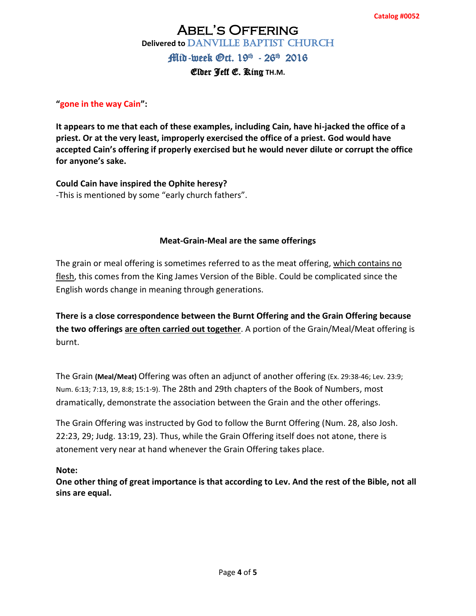# Abel's Offering **Delivered to DANVILLE BAPTIST CHURCH** Mid-week Gct. 19<sup>th</sup> - 26<sup>th</sup> 2016

#### Elder Jeff E. King **TH.M.**

#### **"gone in the way Cain":**

**It appears to me that each of these examples, including Cain, have hi-jacked the office of a priest. Or at the very least, improperly exercised the office of a priest. God would have accepted Cain's offering if properly exercised but he would never dilute or corrupt the office for anyone's sake.** 

**Could Cain have inspired the Ophite heresy?** -This is mentioned by some "early church fathers".

#### **Meat-Grain-Meal are the same offerings**

The grain or meal offering is sometimes referred to as the meat offering, which contains no flesh, this comes from the King James Version of the Bible. Could be complicated since the English words change in meaning through generations.

**There is a close correspondence between the Burnt Offering and the Grain Offering because the two offerings are often carried out together**. A portion of the Grain/Meal/Meat offering is burnt.

The Grain **(Meal/Meat)** Offering was often an adjunct of another offering [\(Ex. 29:38-46; Lev. 23:9;](javascript:%7b%7d) [Num. 6:13;](javascript:%7b%7d) 7:13, 19, 8:8; 15:1-9). The 28th and 29th chapters of the Book of Numbers, most dramatically, demonstrate the association between the Grain and the other offerings.

The Grain Offering was instructed by God to follow the Burnt Offering [\(Num. 28,](javascript:%7b%7d) also [Josh.](javascript:%7b%7d)  [22:23, 29; Judg. 13:19, 23\)](javascript:%7b%7d). Thus, while the Grain Offering itself does not atone, there is atonement very near at hand whenever the Grain Offering takes place.

#### **Note:**

**One other thing of great importance is that according to Lev. And the rest of the Bible, not all sins are equal.**